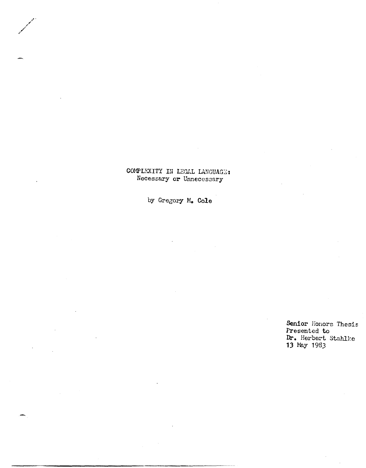## COMPLEXITY IN LEGAL LANGUAGE: Necessary **or** Unnecessary

by Gregory Mo Cole

**Senior** Honors Thesis Presented to **Dr.** Herbert Stahlke **13** May 1983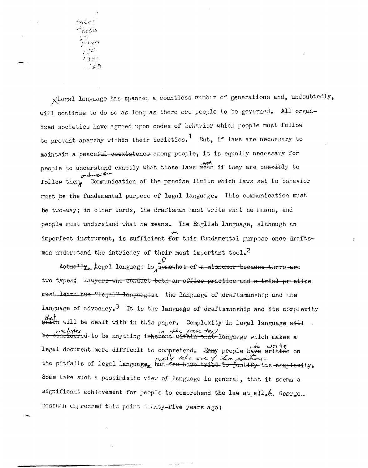ာ်မန္မ 9  $\mathbb{R}^2$  $138.5$  $.365$ 

XLegal language has spanned a countless number of generations and, undoubtedly, will continue to do so as long as there are people to be governed. All organized societies have agreed upon codes of behavior which people must follow to prevent anarchy within their societies.<sup>1</sup> But, if laws are necessary to maintain a peaceful coexistence among people, it is equally necessary for people to understand exactly what those laws mean if they are possibly to or change they follow them, Communication of the precise limits which laws set to behavior must be the fundamental purpose of legal language. This communication must be two-way; in other words, the draftsman must write what he manns, and people must understand what he means. The English language, although an imperfect instrument, is sufficient for this fundamental purpose once draftsmen understand the intricacy of their most important tool.<sup>2</sup>

 $\mathcal{L}_{\mathcal{D}}^{\mathcal{D}}$  . Actually,  $\lambda$ egal language is somewhat of a mismomer because there are two types: Lawyers who conduct beth an office practice and a trial prestice must learn two "legal" languages: the language of draftsmanship and the language of advocacy.<sup>3</sup> It is the language of draftsmanship and its complexity that<br>Weich will be dealt with in this paper. Complexity in legal language will ncludes in the prose text.<br>considered to be anything inherent within that language which makes a legal document more difficult to comprehend. Some people have written on<br>the pitfalls of legal language but few have tribe to justify its complexity. Some take such a pessimistic view of language in general, that it seems a significant achievement for people to comprehend the law at all. (. George. Rossman expressed this point tamty-five years ago: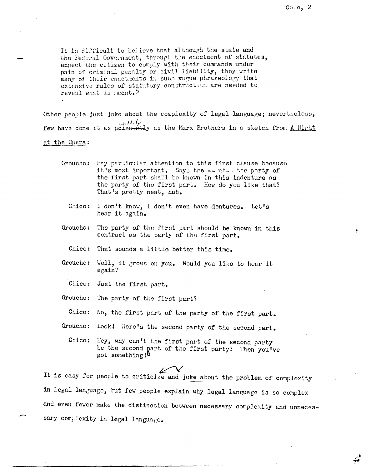ž.

و.<br>چي

It is difficult to believe that although the state and the Federal Government, through the enactment of statutes, expect the citizen to comply with their commands under pain of criminal penalty or civil liability, they write many of their enactments in such vague phraseology that extensive rules of statutory construction are needed to reveal what is meant.<sup>5</sup>

Other people just joke about the complexity of legal language; nevertheless,  $H_i/\sqrt{H_i}$  few have done it as poignantly as the Marx Brothers in a sketch from <u>A Night</u>

at the Opera:

- Groucho: Pay particular attention to this first clause because it's most important. Says the -- uh-- the party of the first part shall be known in this indenture as the party of the first part. How do you like that? That's pretty neat, huh.
	- Chico: I don't know, I don't even have dentures. Let's hear it again.
- Groucho: The party of the first part should be known in this contract as the party of the first part.
	- Chico: That sounds a little better this time.
- $Groucho:$ Well, it grows on you. Would you like to hear it again?
	- Chico: Just the first part.
- Groucho: The party of the first part?
- Chico: No, the first part of the party of the first part.
- Groucho: Look! Here's the second party of the second part.
	- Chico: Hey, why can't the first part of the second party be the second part of the first party? Then you've got something 10

It is easy for people to criticize and joke about the problem of complexity in legal language, but few people explain why legal language is so complex and even fewer make the distinction between necessary complexity and unnecessary complexity in legal language.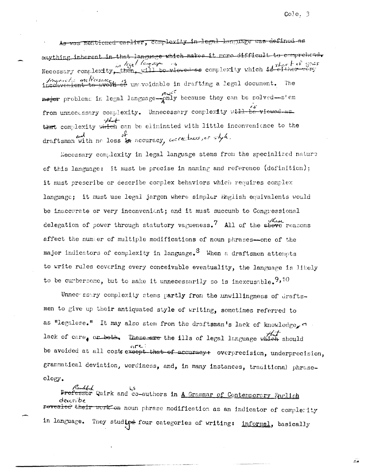As was mentioned earlier, complexity in legal language was defined as anything inherent in that language which makes it more difficult to comprehend. Necessary complexity, then, will b there is the complexity which is shert of grass.<br>De viewed ee complexity which is either very *Inquists malfecsance*, en unavoidable in drafting a legal document. The mater problems in legal language-andy because they can be solved-stem from unnecessary complexity. Unnecessary complexity will be viewed as  $44 +$ that complexity which can be eliminated with little inconvenience to the draftsman with no loss in accuracy, correctness, or style.

Necessary complexity in legal language stems from the specialized nature of this language: it must be precise in naming and reference (definition): it must prescribe or describe complex behaviors which requires complex language; it must use legal jargon where simpler English equivalents would be inaccurate or very inconvenient; and it must succumb to Congressional delegation of power through statutory vagueness.<sup>7</sup> All of the above reasons affect the number of multiple modifications of noun phrases-one of the major indicators of complexity in language.<sup>8</sup> When a draftsmen attempts to write rules covering every conceivable eventuality, the language is likely to be cumbersome, but to make it unnecessarily so is inexcusable.  $9,10$ 

Unnectssary complexity stems partly from the unwillingness of draftsmen to give up their antiquated style of writing, sometimes referred to as "legalese." It may also stem from the draftsman's lack of knowledge, a lack of care, or both. These-are the ills of legal language which should be avoided at all costs except that of accuracy+ overprecision, underprecision, grammatical deviation, wordiness, and, in many instances, traditional phraseology.

Randfolk (15)<br>Professor Quirk and co-authors in <u>A Grammar of Contemporary Fuglish</u> describe revealed their work on noun phrase modification as an indicator of complemity They studied four categories of writing: informal, basically in language.

x.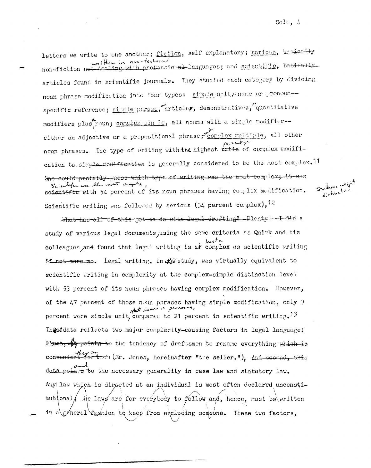letters we write to one another; fiction, self explanatory; serious, besieally written in non-technical non-fiction not dealing with professio allanguages; and scientific, basiesly articles found in scientific journals. They studied each category by dividing noun phrase modification into four types: simple unit, name or pronounspecific reference; simple phrase, articles, demonstratives, quantitative modifiers plus noun; complex sin de, all nouns with a single modifiereither an adjective or a prepositional phrase; complex multiple, all other noun phrases. The type of writing with the highest rutie of complex modification to simple modification is generally considered to be the most complex.<sup>11</sup> Gne could probably guess which type of writing was the most complex; it was Scientific was the nost complex, Seutence and scientific with 54 percent of its noun phrases having complex modification. Scientific writing was followed by serious (34 percent complex),<sup>12</sup>

what has all of this got to do with legal-drafting? Plenty !- I did a study of various legal documents, using the same criteria as Quirk and his colleagues and found that legal writing is at complex as scientific writing if not more so. Legal writing, in the study, was virtually equivalent to scientific writing in complexity at the complex-simple distinction level with 53 percent of its noun phrases having complex modification. However, of the 47 percent of those noun phrases having simple modification, only 9 that names or provening, percent were simple unit, compared to 21 percent in scientific writing.<sup>13</sup> Thest data reflects two major complexity-causing factors in legal language: First,  $\frac{1}{4}$  points to the tendency of draftsmen to rename everything which is quy en (Nr. Jones, hereinafter "the seller."), And second, this data points to the necessary generality in case law and statutory law. Any law which is directed at an individual is most often declared unconstitutional, he laws are for everybody to follow and, hence, must be written in a\ggneral faghion to keep from excluding someone. These two factors,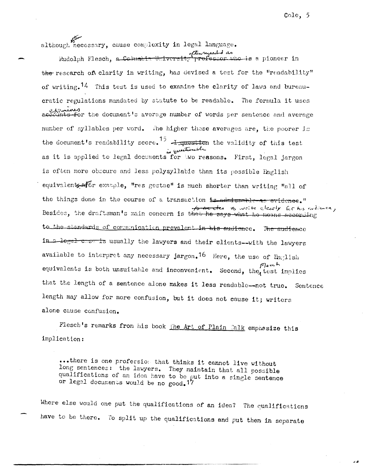often although necessary, cause complexity in legal language.

oftenezant das<br>Tiprofessor who is a pioneer in Rudolph Flesch, a Columbi the research of clarity in writing, has devised a test for the "readability" of writing.<sup>14</sup> This test is used to examine the clarity of laws and bureaucratic regulations mandated by statute to be readable. The formula it uses examines account the document's average number of words per sentence and average number of syllables per word. The higher these averages are, the poorer is the document's readability score.<sup>15</sup>  $\frac{1}{\omega}$  equation the validity of this test is applied to legal documents for two reasons. First, legal jargon is often more obccure and less polysyllabic than its possible English equivalents-efor example, "res gestae" is much shorter than writing "all of the things done in the course of a transaction is admissable as evidence." for the other to write clearly for his evolument, Besides, the draftsman's main concern is that he says what he means according to the standards of communication prevalent in his audience. The audience in a legal cose is usually the lawyers and their clients-with the lawyers available to interpret any necessary jargon.<sup>16</sup> Here, the use of English Fleech equivalents is both unsuitable and inconvenient. Second, the test implies that the length of a sentence alone makes it less readable--not true. Sentence length may allow for more confusion, but it does not cause it; writers alone cause confusion.

Flesch's remarks from his book the Art of Plain Talk emphasize this implication:

...there is one profession that thinks it cannot live without long sentences: the lawyers. They maintain that all possible qualifications of an idea have to be put into a single sentence or legal documents would be no good. 17

Where else would one put the qualifications of an idea? The qualifications have to be there. To split up the qualifications and put them in separate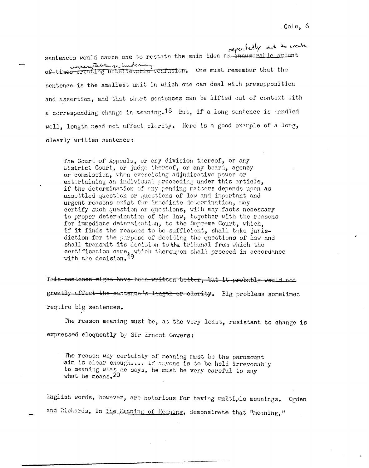repeatedly and to create sentences would cause one to restate the main idea an innumerable amount contractive relevant of times remember that the sentence is the smallest unit in which one can deal with presupposition and assertion, and that short sentences can be lifted out of context with a corresponding change in meaning.<sup>18</sup> But, if a long sentence is handled well, length need not affect clarity. Here is a good example of a long, clearly written sentence:

The Court of Appeals, or any division thereof, or any Listrict Court, or judge thereof, or any board, agency or commission, when exercising adjudicative power or entertaining an individual proceeding under this article, if the determination of any pending matters depends upon as unsettled question or questions of law and important and urgent reasons exist for immediate determination, may certify such question or questions, with any facts necessary to proper determination of the law, together with the reasons for immediate determination, to the Supreme Court, which, if it finds the reasons to be sufficient, shall take jurisdiction for the purpose of deciding the questions of law and shall transmit its decision to the tribunal from which the certification came, which thereupon shall proceed in accordance with the decision.<sup>19</sup>

This sentence might have been written better, but it probably would not greatly affect the sentence's length or elerity. Big problems sometimes require big sentences.

The reason meaning must be, at the very least, resistant to change is expressed eloquently by Sir Ernest Gowers:

The reason why certainty of meaning must be the paramount aim is clear enough.... If anyone is to be held irrevocably to meaning what he says, he must be very careful to say what he means. 20

English words, however, are notorious for having multiple meanings. Cgden and Richards, in The Meaning of Meaning, demonstrate that "meaning,"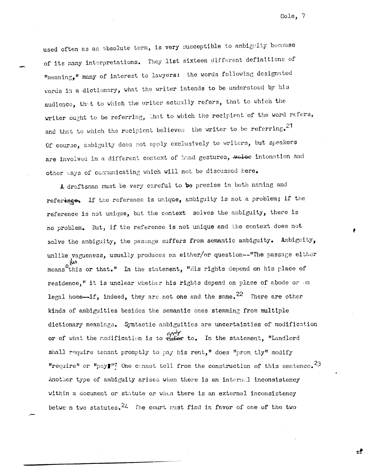used often as an absolute term, is very susceptible to ambiguity because of its many interpretations. They list sixteen different definitions of "meaning," many of interest to lawyers: the words following designated words in a dictionary, what the writer intends to be understood by his audience, that to which the writer actually refers, that to which the writer ought to be referring, that to which the recipient of the word refers, and that to which the recipient believes the writer to be referring.<sup>21</sup> Of course, ambiguity does not apply exclusively to writers, but speakers are involved in a different context of hand gestures, voice intonation and other ways of communicating which will not be discussed here.

A draftsman must be very careful to be precise in both naming and reference. If the reference is unique, ambiguity is not a problem; if the reference is not unique, but the context solves the ambiguity, there is no problem. But, if the reference is not unique and the context does not solve the ambiguity, the passage suffers from semantic ambiguity. Ambiguity, unlike vagueness, usually produces an either/or question--"The passage either means<sup>vint</sup> or that." In the statement, "ilis rights depend on his place of residence," it is unclear whether his rights depend on place of abode or on legal home--if, indeed, they are not one and the same.<sup>22</sup> There are other kinds of ambiguities besides the semantic ones stemming from multiple dictionary meanings. Syntactic ambiguities are uncertainties of modification or of what the modification is to  $\frac{\alpha \gamma e^{i\gamma}}{1+e^{i\gamma}}$  to. In the statement, "Landlord shall require tenant promptly to pay his rent," does "prom tly" modify "require" or "pay"<sup>n?</sup> One cannot tell from the construction of this sentence.<sup>23</sup> Another type of ambiguity arises when there is an internal inconsistency within a document or statute or when there is an external inconsistency between two statutes.  $24$  The court must find in favor of one of the two

Cole, 7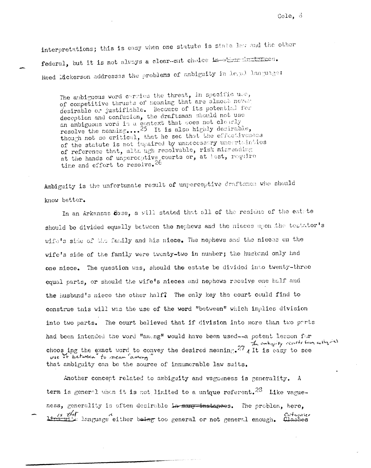interpretations; this is easy when one statute is state law and the other federal, but it is not always a clear-cut choice in stratingtones. Reed Dickerson addresses the problems of ambiguity in Legal language:

The ambiguous word carries the threat, in specific use, of competitive thrusts of meaning that are almost never desirable or justifiable. Because of its potential for deception and confusion, the draftsman should not use an ambiguous word in a context that does not clearly resolve the meaning....<sup>25</sup> It is also highly desirable, though not so critical, that he see that the effectiveness of the statute is not impaired by unnecessary uncertainties of reference that, although resolvable, risk misreading at the hands of unperceptive courts or, at lest, require time and effort to resolve.<sup>26</sup>

Ambiguity is the unfortunate result of unperceptive draftsmen who should know better.

In an Arkansas 63se, a will stated that all of the residue of the estate should be divided equally between the nephews and the nieces upon the testator's wife's side of the family and his niece. The nephews and the nieces on the wife's side of the family were twenty-two in number; the husband only had one niece. The question was, should the estate be divided into twenty-three equal parts, or should the wife's nieces and nephews receive one half and the husband's niece the other half? The only key the court could find to construe this will was the use of the word "between" which implies division into two parts. The court believed that if division into more than two parts had been intended the word "ameng" would have been used--a potent lesson for choos ing the exact word to convey the desired meaning.  $27$  all is easy to see use of between to near "among" that ambiguity can be the source of innumerable law suits.

Another concept related to ambiguity and vagueness is generality. A term is general when it is not limited to a unique referent.<sup>28</sup> Like vagueness, generality is often desirable in many instances. The problem, here. Catagories language either being too general or not general enough. Classes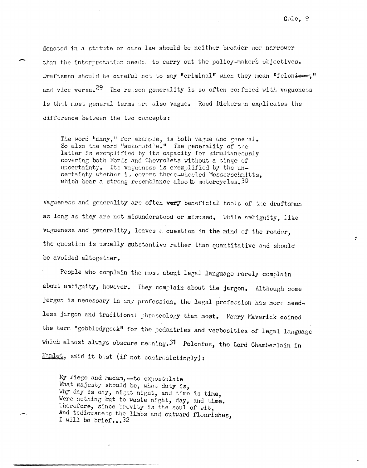denoted in a statute or case law should be neither broader nor narrower than the interpretation neede to carry out the policy-maker's objectives. Draftsmen should be careful not to say "criminal" when they mean "foloniour," and vice versa.<sup>29</sup> The resson generality is so often confused with vagueness is that most general terms are also vague. Reed Dickerson explicates the difference between the two concepts:

The word "many," for example, is both vague and general. So also the word "automobile." The generality of the latter is exemplified by its capacity for simultaneously covering both Fords and Chevrolets without a tinge of uncertainty. Its vagueness is exemplified by the uncertainty whether it covers three-wheeled Mosserschmitts, which bear a strong resemblance also to motorcycles. 30

Vagueness and generality are often very beneficial tools of the draftsman as long as they are not misunderstood or misused. While ambiguity, like vagueness and generality, leaves a question in the mind of the reader, the question is usually substantive rather than quantitative and should be avoided altogether.

People who complain the most about legal language rarely complain about ambiguity, however. They complain about the jargon. Although some jargon is necessary in any profession, the legal profession has more needless jargon and traditional phraseology than most. Maury Maverick coined the term "gobbledygock" for the pedantries and verbosities of legal language which almost always obscure meaning. 31 Polonius, the Lord Chamberlain in Hamlet, said it best (if not contradictingly):

My liege and madam,-to expostulate What majesty should be, what duty is, Why day is day, night night, and time is time, Were nothing but to waste night, day, and time. Therefore, since brevity is the soul of wit, And teclousness the limbs and outward flourishes, I will be brief...32

Cole, 9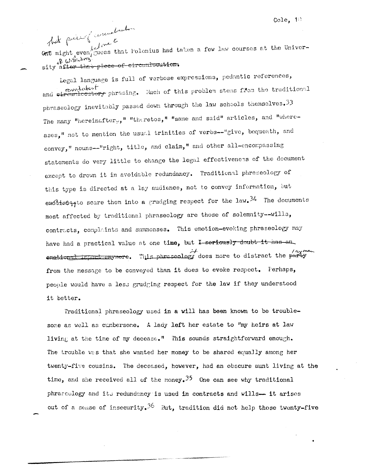book piece of wrewateration And  $\int_{l}^{l}$  one is  $l$  and  $l$ <br>One might even guess that Polonius had taken a few law courses at the Univerof Withouting sity after the piece of circumlucution.

Legal language is full of verbose expressions, pedantic references, rounded reduced in phrasing. Much of this problem stems from the traditional phraseology inevitably passed down through the law schools themselves. 33 The many "hereinafter,," "theretos," "same and said" articles, and "whereases," not to mention the usual trinities of verbs--"give, bequeath, and convey," nouns--"right, title, and claim," and other all-encompassing statements do very little to change the legal effectiveness of the document except to drown it in avoidable redundancy. Traditional phraseology of this type is directed at a lay audience, not to convey information, but emotion a scare them into a grudging respect for the law.  $34$  The documents most affected by traditional phraseology are those of solemnity--wills, contracts, complaints and summonses. This emotion-evoking phraseology may have had a practical value at one time, but I-seriously doubt it has an ay methoged impact enymere. This phraseology does more to distract the party from the message to be conveyed than it does to evoke respect. Perhaps, people would have a less grudging respect for the law if they understood it better.

Traditional phraseology used in a will has been known to be troublesome as well as cumbersome. A lady left her estate to "my heirs at law living at the time of my decease." This sounds straightforward enough. The trouble was that she wanted her money to be shared equally among her twenty-five cousins. The deceased, however, had an obscure aunt living at the time, and she received all of the money.<sup>35</sup> One can see why traditional phraseology and its redundancy is used in contracts and wills-- it arises out of a sense of insecurity.<sup>36</sup> But, tradition did not help those twenty-five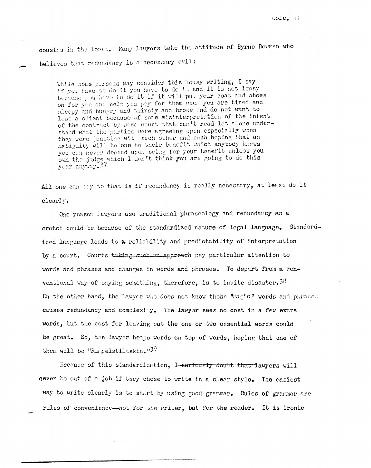cousins in the least. Many lawyers take the attitude of Byrne Bouman who believes that redundancy is a necessary evil:

While some persons may consider this lousy writing, I say if you have to do it you have to do it and it is not lousy because you have to do it if it will put your coat and shoes on for you and help you pay for them when you are tired and sleepy and hungry and thirsty and broke and do not want to lose a client because of some misinterpretation of the intent of the contract by some court that can't read let alone understand what the parties were agreeing upon especially when they were jousting with each other and each hoping that an ambiguity will be one to their benefit which anybody knows you can never depend upon being for your benefit unless you own the judge which I don't think you are going to do this  $vear$  anyway.  $37$ .

All one can say to that is if redundancy is really necessary, at least do it clearly.

One reason lawyers use traditional phraseology and redundancy as a crutch could be because of the standardized nature of legal language. Standardized language leads to a reliability and predictability of interpretation by a court. Courts taking such an approach pay particular attention to words and phrases and changes in words and phrases. To depart from a conventional way of saying something, therefore, is to invite disaster.  $38$ On the other hand, the lawyer who does not know those "nagic" words and phraces causes redundancy and complexity. The lawyer sees no cost in a few extra words, but the cost for leaving out the one or two essential words could be great. So, the lawyer heaps words on top of words, hoping that one of them will be "Rumpelstiltskin." $3<sup>9</sup>$ 

Because of this standardization, I-seriously doubt that lawyers will never be out of a job if they chose to write in a clear style. The easiest way to write clearly is to start by using good grammar. Rules of grammar are rules of convenience--not for the writer, but for the reader. It is ironic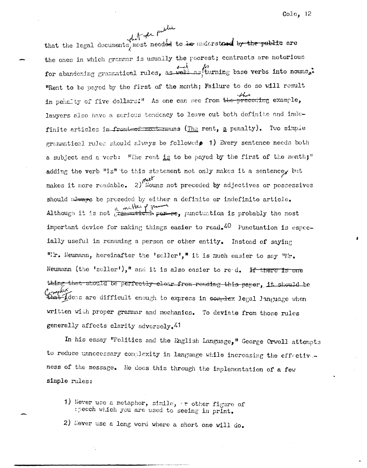what the public that the legal documents, most needed to be understood by the public are the ones in which grammar is usually the poorest; contracts are notorious for abandoning grammatical rules, as well as turning base verbs into nouns. "Rent to be payed by the first of the month; Failure to do so will result in penalty of five dollars:" As one can see from the preceding example, lawyers also have a serious tendency to leave out both definite and indefinite articles in front-of-mont-mouns (The rent, a penalty). Two simple grammatical rules should always be followed  $p$  1) Every sentence needs both a subject and a verb: "The rent is to be payed by the first of the month;" adding the verb "is" to this statement not only makes it a sentence, but makes it more readable. 2)<sup>nust</sup><br>makes it more readable. 2)<sup>nust</sup> Nouns not preceded by adjectives or possessives should users be proceded by either a definite or indefinite article. Although it is not gramstical particles punctuation is probably the most important device for making things easier to  $read_{\bullet}40$  Functuation is especially useful in renaming a person or other entity. Instead of saying "Er. Neumann, hereinafter the 'seller'," it is much easier to say "Mr. Neumann (the 'seller')," and it is also easier to red. If there is one thing that should be perfectly elear from reading this paper, it should be at *Ideas* are difficult enough to express in complex legal language when written with proper grammar and mechanics. To deviate from those rules generally affects clarity adversely.<sup>41</sup>

In his essay "Politics and the English Language," George Crwell attempts to reduce unnecessary complexity in language while increasing the effectiveness of the message. He does this through the implementation of a few simple rules:

1) Never use a metaphor, simile, or other figure of speech which you are used to seeing in print.

2) Hever use a long word where a short one will do.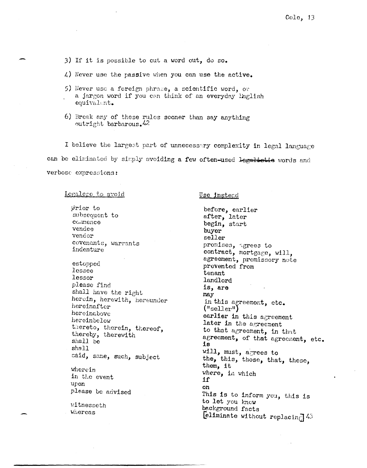3) If it is possible to cut a word out, do so.

 $\downarrow$ ) Never use the passive when you can use the active.

- 5) Hever use a foreign phrase, a scientific word, or a jargon word if you can think of an everyday inglish equivalent.
- 6) Break any of these rules sconer than say anything outright barbarous.<sup>42</sup>

I believe the largest part of unnecessary complexity in legal language can be eliminated by simply avoiding a few often-used legalistic words and verbose expressions:

Legalece to avoid

prior to subsequent to commence vendee vendor covenants, warrants indenture estopped lessee lessor please find shall have the right herein, herewith, hereunder hereinafter hereinabove hereinbelow thereto, therein, thereof, thereby, therewith shall be shall said, same, such, subject wherein in the event upon please be advised vitnesseth Whereas

Use instead

before, earlier after, later begin, start buyer seller promises, agrees to contract, mortgage, will, agreement, promissory note prevented from tenant landlord is, are may in this agreement, etc.  $("selfer")$ earlier in this agreement later in the agreement to that agreement, in that agreement, of that agreement, etc. iв will, must, agrees to the, this, those, that, these, them, it where, in which 1f on This is to inform you, this is to let you know background facts [eliminate without replacing]  $43$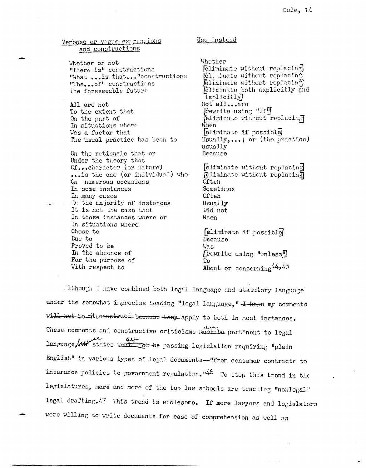## Verbose or vague expressions and constructions

Whether or not "There is" constructions "What ... is that... "constructions "The...of" constructions The foreseeable future

All are not To the extent that On the part of In situations where Was a factor that The usual practice has been to

On the rationale that or Under the theory that Cf...character (or nature) ... is the one (or individual) who On numerous occasions In some instances In many cases In the majority of instances It is not the case that In those instances where or In situations where Chose to Due to Proved to be In the absence of For the purpose of With respect to

Use instead

Whether [eliminate without replacing] **Ellenate without replacing** *feliminate without replacing* feliminate both explicitly and implicitly] Not all...are Fewrite using "if" Teliminate without replacing When eliminate if possible Usually,...; or (the practice) usually Because

eliminate without replacing Teliminate without replacina Often Sometimes Often Usually Did not When

eliminate if possible Because Was  $[$ rewrite using "unless" $]$ Тo About or concerning  $44,45$ 

Ethough I have combined both legal language and statutory language under the somewhat imprecise heading "legal language, "-I-hope my comments will not be missonstrued because they apply to both in most instances. These comments and constructive criticisms method pertinent to legal language with states would not be passing legislation requiring "plain English" in various types of legal documents--"from consumer contracts to insurance policies to government regulation.<sup>146</sup> To stop this trend in the legislatures, more and more of the top law schools are teaching "nonlegal" legal drafting.47 This trend is wholesome. If more lawyers and legislators were willing to write documents for ease of comprehension as well as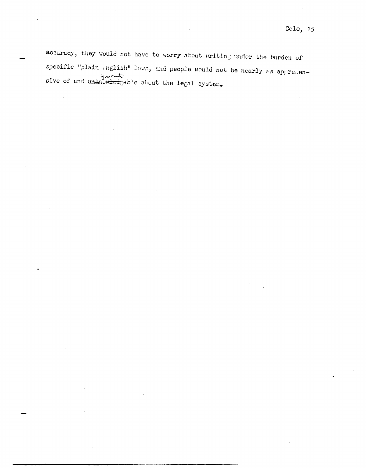accuracy, they would not have to worry about writing under the burden of specific "plain mglish" laws, and people would not be nearly as apprehensive of and unknowledgeble about the legal system.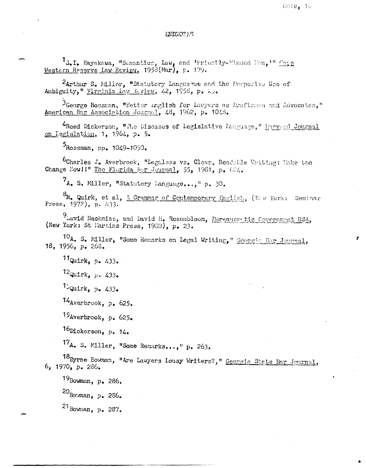## **ENDNOTES**

1s.I. Hayakawa, "Semantics, Law, and 'Priestly-Minded Men,'" Cass Western Reserve Law Review, 1958(Mar), p. 179.

2Arthur S. Miller, "Statutory Languague and the Furpocive Use of Ambiguity," Virginia Law Review, 42, 1958, p. 23.

3George Rossman, "Better English for Lawyers as Draftsmen and Advocates," American Bar Association Journal, 48, 1962, p. 1048.

4Reed Dickerson, "The Diseases of Legislative Language," Harverd Journal on legislation, 1, 1964, p. 5.

 $5_{\text{Rossman}}$ , pp. 1049-1050.

6Charles J. Averbrook, "Legalese vs. Clear, Readable Writing: Make the Change Nowll" The Florida Bar Journal, 55, 1981, p. 624.

7A. S. Miller, "Statutory Language...," p. 30.

<sup>8</sup>R. Quirk, et al, A Grammar of Contemporary English, (New York: Seminar Press, 1972), p. 433.

<sup>9</sup> Lavid Nachmias, and David H. Rosenbloom, <u>Eureaucustic Covernment USA</u>, (New York: St Martins Press, 1980), p. 23.

10A. S. Miller, "Some Remarks on Legal Writing," Georgic Bar Journal, 18, 1956, p. 268.

11 Quirk, p. 433.

 $12$ Quirk, p. 433.

 $15$ Quirk, p. 433.

 $14$ Averbrook, p. 625.

15Averbrook, p. 625.

16Dickerson, p. 14.

17<sub>A</sub>. S. Miller, "Some Remarks...," p. 263.

18Byrne Bowman, "Are Lawyers Lousy Writers?," Georgia State Bar Journal, 6, 1970, p. 286.

19Bowman, p. 286.  $^{20}$ Bouman, p. 286. 21 Bowman, p. 287.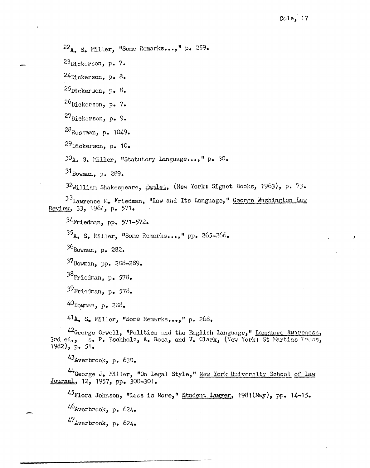$Cole, 17$ 

22A. S. Miller, "Some Remarks...," p. 259.  $^{23}$ Dickerson, p. 7.  $24$ Dickerson, p. 8.  $^{25}$ Dickerson. p. 8.  $26$ Dickerson, p. 7.  $27$ Dickerson, p. 9.  $^{28}$ Rossman, p. 1049.  $^{29}$ Dickerson, p. 10. 30<sub>A</sub>. S. Miller. "Statutory Language...," p. 30.  $31_{\text{Bowman}}$ , p. 289. 32William Shakespeare, Hamlet, (New York: Signet Books, 1963), p. 73.

<sup>33</sup>Lawrence N. Friedman, "Law and Its Language," George Washington Law Review, 33, 1964, p. 571.

Friedman, pp. 571-572.  $35_{\text{A}}$ , S. Miller, "Some Remarks...," pp. 265-266. Bowman, p. 282. 37Bowman, pp. 288-289. Friedman, p.  $573.$ Friedman, p. 578. Bowman, p. 288.

41A. S. Miller, "Some Remarks...," p. 263.

42George Orwell, "Politics and the English Language," Language Awareness, 3rd ed., is. P. Eschholz, A. Rosa, and V. Clark, (New York: St Martins Press, 1982), p. 51.

43 Averbrook, p. 630.

44 George J. Miller, "On Legal Style," New York University School of Law Journal, 12, 1957, pp. 300-301.

45 Flora Johnson, "Less is More," Student Lawyer, 1981 (May), pp. 14-15.

 $46$ Averbrook, p. 624.

 $47$  Averbrook, p. 624.